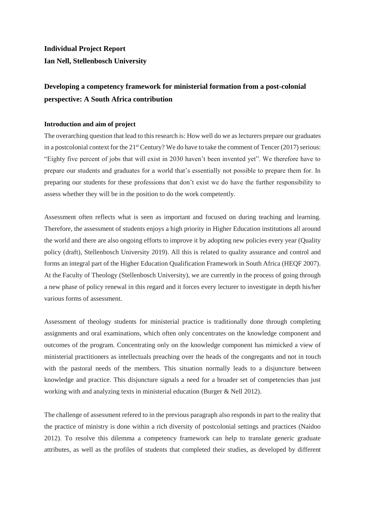# **Individual Project Report Ian Nell, Stellenbosch University**

# **Developing a competency framework for ministerial formation from a post-colonial perspective: A South Africa contribution**

## **Introduction and aim of project**

The overarching question that lead to this research is: How well do we as lecturers prepare our graduates in a postcolonial context for the  $21<sup>st</sup>$  Century? We do have to take the comment of Tencer (2017) serious: "Eighty five percent of jobs that will exist in 2030 haven't been invented yet". We therefore have to prepare our students and graduates for a world that's essentially not possible to prepare them for. In preparing our students for these professions that don't exist we do have the further responsibility to assess whether they will be in the position to do the work competently.

Assessment often reflects what is seen as important and focused on during teaching and learning. Therefore, the assessment of students enjoys a high priority in Higher Education institutions all around the world and there are also ongoing efforts to improve it by adopting new policies every year (Quality policy (draft), Stellenbosch University 2019). All this is related to quality assurance and control and forms an integral part of the Higher Education Qualification Framework in South Africa (HEQF 2007). At the Faculty of Theology (Stellenbosch University), we are currently in the process of going through a new phase of policy renewal in this regard and it forces every lecturer to investigate in depth his/her various forms of assessment.

Assessment of theology students for ministerial practice is traditionally done through completing assignments and oral examinations, which often only concentrates on the knowledge component and outcomes of the program. Concentrating only on the knowledge component has mimicked a view of ministerial practitioners as intellectuals preaching over the heads of the congregants and not in touch with the pastoral needs of the members. This situation normally leads to a disjuncture between knowledge and practice. This disjuncture signals a need for a broader set of competencies than just working with and analyzing texts in ministerial education (Burger & Nell 2012).

The challenge of assessment refered to in the previous paragraph also responds in part to the reality that the practice of ministry is done within a rich diversity of postcolonial settings and practices (Naidoo 2012). To resolve this dilemma a competency framework can help to translate generic graduate attributes, as well as the profiles of students that completed their studies, as developed by different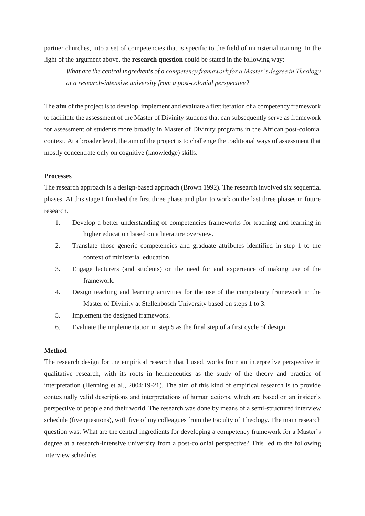partner churches, into a set of competencies that is specific to the field of ministerial training. In the light of the argument above, the **research question** could be stated in the following way:

*What are the central ingredients of a competency framework for a Master's degree in Theology at a research-intensive university from a post-colonial perspective?*

The **aim** of the project is to develop, implement and evaluate a first iteration of a competency framework to facilitate the assessment of the Master of Divinity students that can subsequently serve as framework for assessment of students more broadly in Master of Divinity programs in the African post-colonial context. At a broader level, the aim of the project is to challenge the traditional ways of assessment that mostly concentrate only on cognitive (knowledge) skills.

#### **Processes**

The research approach is a design-based approach (Brown 1992). The research involved six sequential phases. At this stage I finished the first three phase and plan to work on the last three phases in future research.

- 1. Develop a better understanding of competencies frameworks for teaching and learning in higher education based on a literature overview.
- 2. Translate those generic competencies and graduate attributes identified in step 1 to the context of ministerial education.
- 3. Engage lecturers (and students) on the need for and experience of making use of the framework.
- 4. Design teaching and learning activities for the use of the competency framework in the Master of Divinity at Stellenbosch University based on steps 1 to 3.
- 5. Implement the designed framework.
- 6. Evaluate the implementation in step 5 as the final step of a first cycle of design.

#### **Method**

The research design for the empirical research that I used, works from an interpretive perspective in qualitative research, with its roots in hermeneutics as the study of the theory and practice of interpretation (Henning et al., 2004:19-21). The aim of this kind of empirical research is to provide contextually valid descriptions and interpretations of human actions, which are based on an insider's perspective of people and their world. The research was done by means of a semi-structured interview schedule (five questions), with five of my colleagues from the Faculty of Theology. The main research question was: What are the central ingredients for developing a competency framework for a Master's degree at a research-intensive university from a post-colonial perspective? This led to the following interview schedule: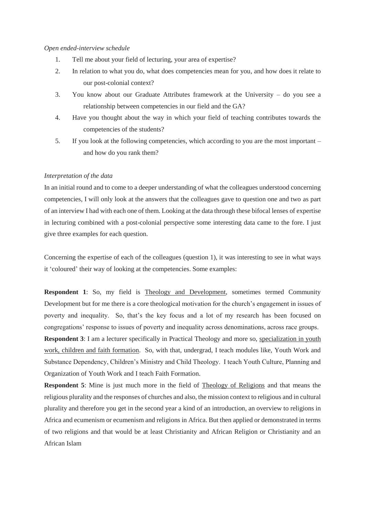#### *Open ended-interview schedule*

- 1. Tell me about your field of lecturing, your area of expertise?
- 2. In relation to what you do, what does competencies mean for you, and how does it relate to our post-colonial context?
- 3. You know about our Graduate Attributes framework at the University do you see a relationship between competencies in our field and the GA?
- 4. Have you thought about the way in which your field of teaching contributes towards the competencies of the students?
- 5. If you look at the following competencies, which according to you are the most important and how do you rank them?

#### *Interpretation of the data*

In an initial round and to come to a deeper understanding of what the colleagues understood concerning competencies, I will only look at the answers that the colleagues gave to question one and two as part of an interview I had with each one of them. Looking at the data through these bifocal lenses of expertise in lecturing combined with a post-colonial perspective some interesting data came to the fore. I just give three examples for each question.

Concerning the expertise of each of the colleagues (question 1), it was interesting to see in what ways it 'coloured' their way of looking at the competencies. Some examples:

**Respondent 1**: So, my field is Theology and Development, sometimes termed Community Development but for me there is a core theological motivation for the church's engagement in issues of poverty and inequality. So, that's the key focus and a lot of my research has been focused on congregations' response to issues of poverty and inequality across denominations, across race groups.

**Respondent 3**: I am a lecturer specifically in Practical Theology and more so, specialization in youth work, children and faith formation. So, with that, undergrad, I teach modules like, Youth Work and Substance Dependency, Children's Ministry and Child Theology. I teach Youth Culture, Planning and Organization of Youth Work and I teach Faith Formation.

**Respondent 5**: Mine is just much more in the field of Theology of Religions and that means the religious plurality and the responses of churches and also, the mission context to religious and in cultural plurality and therefore you get in the second year a kind of an introduction, an overview to religions in Africa and ecumenism or ecumenism and religions in Africa. But then applied or demonstrated in terms of two religions and that would be at least Christianity and African Religion or Christianity and an African Islam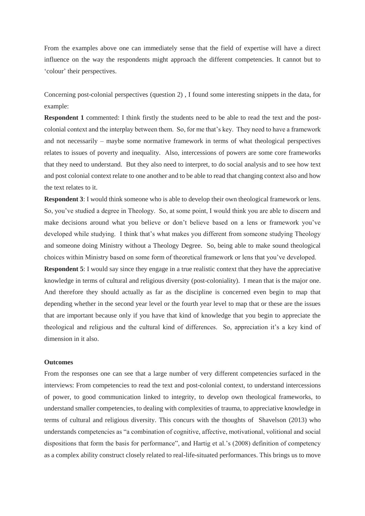From the examples above one can immediately sense that the field of expertise will have a direct influence on the way the respondents might approach the different competencies. It cannot but to 'colour' their perspectives.

Concerning post-colonial perspectives (question 2) , I found some interesting snippets in the data, for example:

**Respondent 1** commented: I think firstly the students need to be able to read the text and the postcolonial context and the interplay between them. So, for me that's key. They need to have a framework and not necessarily – maybe some normative framework in terms of what theological perspectives relates to issues of poverty and inequality. Also, intercessions of powers are some core frameworks that they need to understand. But they also need to interpret, to do social analysis and to see how text and post colonial context relate to one another and to be able to read that changing context also and how the text relates to it.

**Respondent 3**: I would think someone who is able to develop their own theological framework or lens. So, you've studied a degree in Theology. So, at some point, I would think you are able to discern and make decisions around what you believe or don't believe based on a lens or framework you've developed while studying. I think that's what makes you different from someone studying Theology and someone doing Ministry without a Theology Degree. So, being able to make sound theological choices within Ministry based on some form of theoretical framework or lens that you've developed.

**Respondent 5**: I would say since they engage in a true realistic context that they have the appreciative knowledge in terms of cultural and religious diversity (post-coloniality). I mean that is the major one. And therefore they should actually as far as the discipline is concerned even begin to map that depending whether in the second year level or the fourth year level to map that or these are the issues that are important because only if you have that kind of knowledge that you begin to appreciate the theological and religious and the cultural kind of differences. So, appreciation it's a key kind of dimension in it also.

### **Outcomes**

From the responses one can see that a large number of very different competencies surfaced in the interviews: From competencies to read the text and post-colonial context, to understand intercessions of power, to good communication linked to integrity, to develop own theological frameworks, to understand smaller competencies, to dealing with complexities of trauma, to appreciative knowledge in terms of cultural and religious diversity. This concurs with the thoughts of Shavelson (2013) who understands competencies as "a combination of cognitive, affective, motivational, volitional and social dispositions that form the basis for performance", and Hartig et al.'s (2008) definition of competency as a complex ability construct closely related to real-life-situated performances. This brings us to move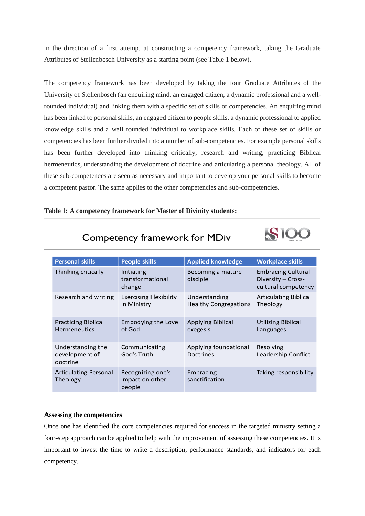in the direction of a first attempt at constructing a competency framework, taking the Graduate Attributes of Stellenbosch University as a starting point (see Table 1 below).

The competency framework has been developed by taking the four Graduate Attributes of the University of Stellenbosch (an enquiring mind, an engaged citizen, a dynamic professional and a wellrounded individual) and linking them with a specific set of skills or competencies. An enquiring mind has been linked to personal skills, an engaged citizen to people skills, a dynamic professional to applied knowledge skills and a well rounded individual to workplace skills. Each of these set of skills or competencies has been further divided into a number of sub-competencies. For example personal skills has been further developed into thinking critically, research and writing, practicing Biblical hermeneutics, understanding the development of doctrine and articulating a personal theology. All of these sub-competences are seen as necessary and important to develop your personal skills to become a competent pastor. The same applies to the other competencies and sub-competencies.

## **Table 1: A competency framework for Master of Divinity students:**

| <b>Personal skills</b>                            | <b>People skills</b>                           | <b>Applied knowledge</b>                      | <b>Workplace skills</b>                                                |
|---------------------------------------------------|------------------------------------------------|-----------------------------------------------|------------------------------------------------------------------------|
| Thinking critically                               | Initiating<br>transformational<br>change       | Becoming a mature<br>disciple                 | <b>Embracing Cultural</b><br>Diversity - Cross-<br>cultural competency |
| Research and writing                              | <b>Exercising Flexibility</b><br>in Ministry   | Understanding<br><b>Healthy Congregations</b> | <b>Articulating Biblical</b><br>Theology                               |
| <b>Practicing Biblical</b><br><b>Hermeneutics</b> | <b>Embodying the Love</b><br>of God            | <b>Applying Biblical</b><br>exegesis          | <b>Utilizing Biblical</b><br>Languages                                 |
| Understanding the<br>development of<br>doctrine   | Communicating<br>God's Truth                   | Applying foundational<br><b>Doctrines</b>     | Resolving<br>Leadership Conflict                                       |
| <b>Articulating Personal</b><br>Theology          | Recognizing one's<br>impact on other<br>people | Embracing<br>sanctification                   | Taking responsibility                                                  |

**SIOO** 

# Competency framework for MDiv

### **Assessing the competencies**

Once one has identified the core competencies required for success in the targeted ministry setting a four-step approach can be applied to help with the improvement of assessing these competencies. It is important to invest the time to write a description, performance standards, and indicators for each competency.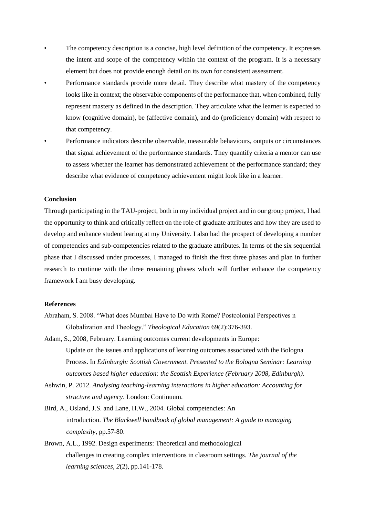- The competency description is a concise, high level definition of the competency. It expresses the intent and scope of the competency within the context of the program. It is a necessary element but does not provide enough detail on its own for consistent assessment.
- Performance standards provide more detail. They describe what mastery of the competency looks like in context; the observable components of the performance that, when combined, fully represent mastery as defined in the description. They articulate what the learner is expected to know (cognitive domain), be (affective domain), and do (proficiency domain) with respect to that competency.
	- Performance indicators describe observable, measurable behaviours, outputs or circumstances that signal achievement of the performance standards. They quantify criteria a mentor can use to assess whether the learner has demonstrated achievement of the performance standard; they describe what evidence of competency achievement might look like in a learner.

## **Conclusion**

Through participating in the TAU-project, both in my individual project and in our group project, I had the opportunity to think and critically reflect on the role of graduate attributes and how they are used to develop and enhance student learing at my University. I also had the prospect of developing a number of competencies and sub-competencies related to the graduate attributes. In terms of the six sequential phase that I discussed under processes, I managed to finish the first three phases and plan in further research to continue with the three remaining phases which will further enhance the competency framework I am busy developing.

### **References**

- Abraham, S. 2008. "What does Mumbai Have to Do with Rome? Postcolonial Perspectives n Globalization and Theology." *Theological Education* 69(2):376-393.
- Adam, S., 2008, February. Learning outcomes current developments in Europe: Update on the issues and applications of learning outcomes associated with the Bologna Process. In *Edinburgh: Scottish Government. Presented to the Bologna Seminar: Learning outcomes based higher education: the Scottish Experience (February 2008, Edinburgh)*.
- Ashwin, P. 2012. *Analysing teaching-learning interactions in higher education: Accounting for structure and agency*. London: Continuum.
- Bird, A., Osland, J.S. and Lane, H.W., 2004. Global competencies: An introduction. *The Blackwell handbook of global management: A guide to managing complexity*, pp.57-80.
- Brown, A.L., 1992. Design experiments: Theoretical and methodological challenges in creating complex interventions in classroom settings. *The journal of the learning sciences*, *2*(2), pp.141-178.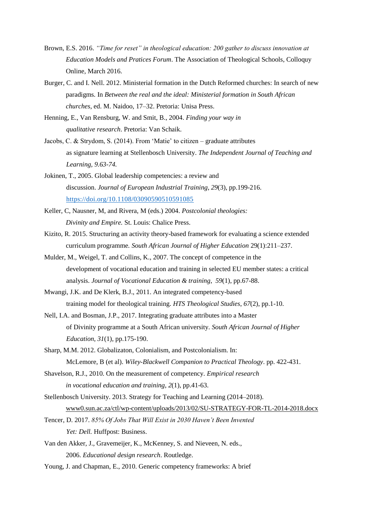- Brown, E.S. 2016. *"Time for reset" in theological education: 200 gather to discuss innovation at Education Models and Pratices Forum*. The Association of Theological Schools, Colloquy Online, March 2016.
- Burger, C. and I. Nell. 2012. Ministerial formation in the Dutch Reformed churches: In search of new paradigms. In *Between the real and the ideal: Ministerial formation in South African churches*, ed. M. Naidoo, 17–32. Pretoria: Unisa Press.
- Henning, E., Van Rensburg, W. and Smit, B., 2004. *Finding your way in qualitative research*. Pretoria: Van Schaik.
- Jacobs, C. & Strydom, S. (2014). From 'Matie' to citizen graduate attributes as signature learning at Stellenbosch University. *The Independent Journal of Teaching and Learning, 9.63-74.*
- Jokinen, T., 2005. Global leadership competencies: a review and discussion. *Journal of European Industrial Training*, *29*(3), pp.199-216. <https://doi.org/10.1108/03090590510591085>
- Keller, C, Nausner, M, and Rivera, M (eds.) 2004. *Postcolonial theologies: Divinity and Empire.* St. Louis: Chalice Press.
- Kizito, R. 2015. Structuring an activity theory-based framework for evaluating a science extended curriculum programme*. South African Journal of Higher Education* 29(1):211–237.
- Mulder, M., Weigel, T. and Collins, K., 2007. The concept of competence in the development of vocational education and training in selected EU member states: a critical analysis. *Journal of Vocational Education & training*, *59*(1), pp.67-88.
- Mwangi, J.K. and De Klerk, B.J., 2011. An integrated competency-based training model for theological training. *HTS Theological Studies*, *67*(2), pp.1-10.
- Nell, I.A. and Bosman, J.P., 2017. Integrating graduate attributes into a Master of Divinity programme at a South African university. *South African Journal of Higher Education*, *31*(1), pp.175-190.
- Sharp, M.M. 2012. Globalizaton, Colonialism, and Postcolonialism. In: McLemore, B (et al). *Wiley-Blackwell Companion to Practical Theology*. pp. 422-431.
- Shavelson, R.J., 2010. On the measurement of competency. *Empirical research in vocational education and training*, *2*(1), pp.41-63.
- Stellenbosch University. 2013. Strategy for Teaching and Learning (2014–2018). [www0.sun.ac.za/ctl/wp-content/uploads/2013/02/SU-STRATEGY-FOR-TL-2014-2018.docx](http://www0.sun.ac.za/ctl/wp-content/uploads/2013/02/SU-STRATEGY-FOR-TL-2014-2018.docx)
- Tencer, D. 2017. *85% Of Jobs That Will Exist in 2030 Haven't Been Invented*  Yet: Dell. Huffpost: Business.
- Van den Akker, J., Gravemeijer, K., McKenney, S. and Nieveen, N. eds., 2006. *Educational design research*. Routledge.
- Young, J. and Chapman, E., 2010. Generic competency frameworks: A brief